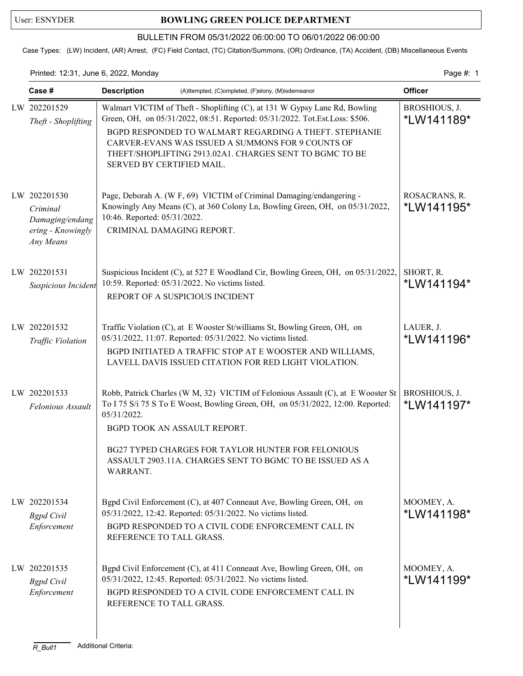## User: ESNYDER **BOWLING GREEN POLICE DEPARTMENT**

### BULLETIN FROM 05/31/2022 06:00:00 TO 06/01/2022 06:00:00

Case Types: (LW) Incident, (AR) Arrest, (FC) Field Contact, (TC) Citation/Summons, (OR) Ordinance, (TA) Accident, (DB) Miscellaneous Events

### Printed: 12:31, June 6, 2022, Monday **Page #: 1** Page #: 1

| Case #                                                                        | <b>Description</b>                                        | (A)ttempted, (C)ompleted, (F)elony, (M)isdemeanor                                                                                                                                                                                                                                                                                   | <b>Officer</b>              |
|-------------------------------------------------------------------------------|-----------------------------------------------------------|-------------------------------------------------------------------------------------------------------------------------------------------------------------------------------------------------------------------------------------------------------------------------------------------------------------------------------------|-----------------------------|
| LW 202201529<br>Theft - Shoplifting                                           | SERVED BY CERTIFIED MAIL.                                 | Walmart VICTIM of Theft - Shoplifting (C), at 131 W Gypsy Lane Rd, Bowling<br>Green, OH, on 05/31/2022, 08:51. Reported: 05/31/2022. Tot.Est.Loss: \$506.<br>BGPD RESPONDED TO WALMART REGARDING A THEFT. STEPHANIE<br>CARVER-EVANS WAS ISSUED A SUMMONS FOR 9 COUNTS OF<br>THEFT/SHOPLIFTING 2913.02A1. CHARGES SENT TO BGMC TO BE | BROSHIOUS, J.<br>*LW141189* |
| LW 202201530<br>Criminal<br>Damaging/endang<br>ering - Knowingly<br>Any Means | 10:46. Reported: 05/31/2022.<br>CRIMINAL DAMAGING REPORT. | Page, Deborah A. (W F, 69) VICTIM of Criminal Damaging/endangering -<br>Knowingly Any Means (C), at 360 Colony Ln, Bowling Green, OH, on 05/31/2022,                                                                                                                                                                                | ROSACRANS, R.<br>*LW141195* |
| LW 202201531<br>Suspicious Incident                                           |                                                           | Suspicious Incident (C), at 527 E Woodland Cir, Bowling Green, OH, on 05/31/2022,<br>10:59. Reported: 05/31/2022. No victims listed.<br>REPORT OF A SUSPICIOUS INCIDENT                                                                                                                                                             | SHORT, R.<br>*LW141194*     |
| LW 202201532<br>Traffic Violation                                             |                                                           | Traffic Violation (C), at E Wooster St/williams St, Bowling Green, OH, on<br>05/31/2022, 11:07. Reported: 05/31/2022. No victims listed.<br>BGPD INITIATED A TRAFFIC STOP AT E WOOSTER AND WILLIAMS,<br>LAVELL DAVIS ISSUED CITATION FOR RED LIGHT VIOLATION.                                                                       | LAUER, J.<br>*LW141196*     |
| LW 202201533<br>Felonious Assault                                             | 05/31/2022.<br>WARRANT.                                   | Robb, Patrick Charles (W M, 32) VICTIM of Felonious Assault (C), at E Wooster St<br>To I 75 S/i 75 S To E Woost, Bowling Green, OH, on 05/31/2022, 12:00. Reported:<br>BGPD TOOK AN ASSAULT REPORT.<br>BG27 TYPED CHARGES FOR TAYLOR HUNTER FOR FELONIOUS<br>ASSAULT 2903.11A. CHARGES SENT TO BGMC TO BE ISSUED AS A               | BROSHIOUS, J.<br>*LW141197* |
| LW 202201534<br><b>Bgpd</b> Civil<br>Enforcement                              | REFERENCE TO TALL GRASS.                                  | Bgpd Civil Enforcement (C), at 407 Conneaut Ave, Bowling Green, OH, on<br>05/31/2022, 12:42. Reported: 05/31/2022. No victims listed.<br>BGPD RESPONDED TO A CIVIL CODE ENFORCEMENT CALL IN                                                                                                                                         | MOOMEY, A.<br>*LW141198*    |
| LW 202201535<br><b>Bgpd</b> Civil<br>Enforcement                              | REFERENCE TO TALL GRASS.                                  | Bgpd Civil Enforcement (C), at 411 Conneaut Ave, Bowling Green, OH, on<br>05/31/2022, 12:45. Reported: 05/31/2022. No victims listed.<br>BGPD RESPONDED TO A CIVIL CODE ENFORCEMENT CALL IN                                                                                                                                         | MOOMEY, A.<br>*LW141199*    |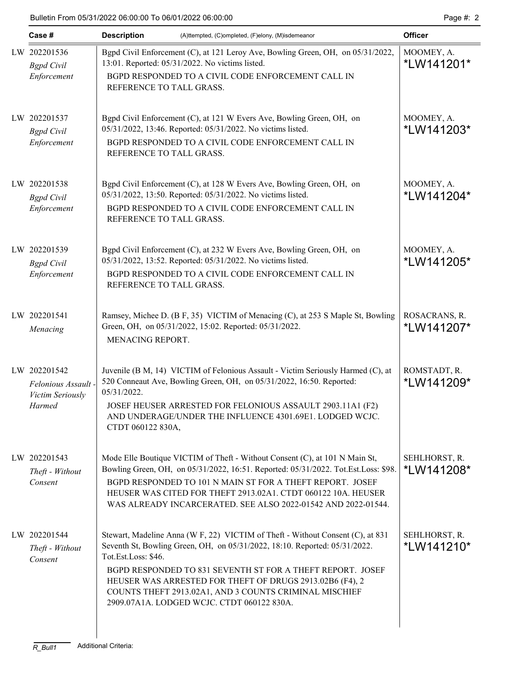| Case #                                                            | <b>Description</b>                                                                                                                                                                                                     | (A)ttempted, (C)ompleted, (F)elony, (M)isdemeanor                                                                                                                                                                                                                                                                                                                                              | <b>Officer</b>                      |
|-------------------------------------------------------------------|------------------------------------------------------------------------------------------------------------------------------------------------------------------------------------------------------------------------|------------------------------------------------------------------------------------------------------------------------------------------------------------------------------------------------------------------------------------------------------------------------------------------------------------------------------------------------------------------------------------------------|-------------------------------------|
| LW 202201536<br><b>Bgpd</b> Civil<br>Enforcement                  |                                                                                                                                                                                                                        | Bgpd Civil Enforcement (C), at 121 Leroy Ave, Bowling Green, OH, on 05/31/2022,<br>13:01. Reported: 05/31/2022. No victims listed.<br>BGPD RESPONDED TO A CIVIL CODE ENFORCEMENT CALL IN<br>REFERENCE TO TALL GRASS.                                                                                                                                                                           |                                     |
| LW 202201537<br><b>Bgpd</b> Civil<br>Enforcement                  | REFERENCE TO TALL GRASS.                                                                                                                                                                                               | Bgpd Civil Enforcement (C), at 121 W Evers Ave, Bowling Green, OH, on<br>05/31/2022, 13:46. Reported: 05/31/2022. No victims listed.<br>BGPD RESPONDED TO A CIVIL CODE ENFORCEMENT CALL IN                                                                                                                                                                                                     | MOOMEY, A.<br>*LW141203*            |
| LW 202201538<br><b>Bgpd</b> Civil<br>Enforcement                  | Bgpd Civil Enforcement (C), at 128 W Evers Ave, Bowling Green, OH, on<br>05/31/2022, 13:50. Reported: 05/31/2022. No victims listed.<br>BGPD RESPONDED TO A CIVIL CODE ENFORCEMENT CALL IN<br>REFERENCE TO TALL GRASS. |                                                                                                                                                                                                                                                                                                                                                                                                | MOOMEY, A.<br>*LW141204*            |
| LW 202201539<br><b>Bgpd</b> Civil<br>Enforcement                  | REFERENCE TO TALL GRASS.                                                                                                                                                                                               | Bgpd Civil Enforcement (C), at 232 W Evers Ave, Bowling Green, OH, on<br>05/31/2022, 13:52. Reported: 05/31/2022. No victims listed.<br>BGPD RESPONDED TO A CIVIL CODE ENFORCEMENT CALL IN                                                                                                                                                                                                     | MOOMEY, A.<br>*LW141205*            |
| LW 202201541<br>Menacing                                          | MENACING REPORT.                                                                                                                                                                                                       | Ramsey, Michee D. (B F, 35) VICTIM of Menacing (C), at 253 S Maple St, Bowling<br>Green, OH, on 05/31/2022, 15:02. Reported: 05/31/2022.                                                                                                                                                                                                                                                       | ROSACRANS, R.<br>*LW141207*         |
| LW 202201542<br>Felonious Assault -<br>Victim Seriously<br>Harmed | 05/31/2022.<br>CTDT 060122 830A,                                                                                                                                                                                       | Juvenile (B M, 14) VICTIM of Felonious Assault - Victim Seriously Harmed (C), at<br>520 Conneaut Ave, Bowling Green, OH, on 05/31/2022, 16:50. Reported:<br>JOSEF HEUSER ARRESTED FOR FELONIOUS ASSAULT 2903.11A1 (F2)<br>AND UNDERAGE/UNDER THE INFLUENCE 4301.69E1. LODGED WCJC.                                                                                                             | ROMSTADT, R.<br>*LW141209*          |
| LW 202201543<br>Theft - Without<br>Consent                        |                                                                                                                                                                                                                        | Mode Elle Boutique VICTIM of Theft - Without Consent (C), at 101 N Main St,<br>Bowling Green, OH, on 05/31/2022, 16:51. Reported: 05/31/2022. Tot.Est.Loss: \$98.<br>BGPD RESPONDED TO 101 N MAIN ST FOR A THEFT REPORT. JOSEF<br>HEUSER WAS CITED FOR THEFT 2913.02A1. CTDT 060122 10A. HEUSER<br>WAS ALREADY INCARCERATED. SEE ALSO 2022-01542 AND 2022-01544.                               | SEHLHORST, R.<br><i>*</i> LW141208* |
| LW 202201544<br>Theft - Without<br>Consent                        | Tot.Est.Loss: \$46.                                                                                                                                                                                                    | Stewart, Madeline Anna (W F, 22) VICTIM of Theft - Without Consent (C), at 831<br>Seventh St, Bowling Green, OH, on 05/31/2022, 18:10. Reported: 05/31/2022.<br>BGPD RESPONDED TO 831 SEVENTH ST FOR A THEFT REPORT. JOSEF<br>HEUSER WAS ARRESTED FOR THEFT OF DRUGS 2913.02B6 (F4), 2<br>COUNTS THEFT 2913.02A1, AND 3 COUNTS CRIMINAL MISCHIEF<br>2909.07A1A. LODGED WCJC. CTDT 060122 830A. | SEHLHORST, R.<br>*LW141210*         |

 $\overline{\phantom{a}}$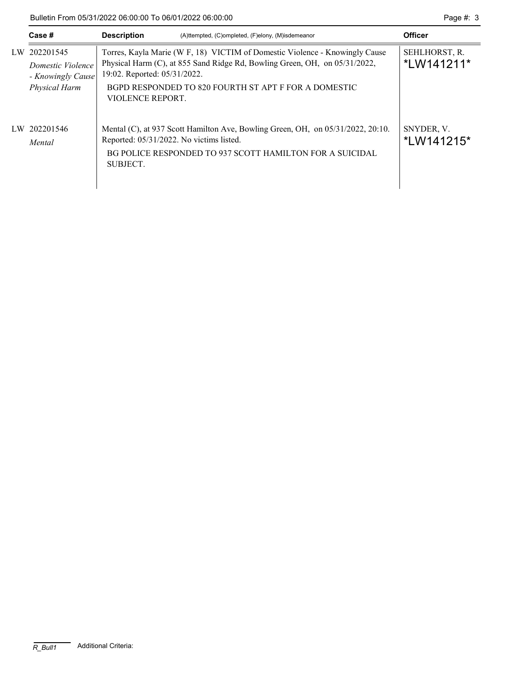Bulletin From 05/31/2022 06:00:00 To 06/01/2022 06:00:00 Page #: 3

|    | Case #                                                               | <b>Description</b>                                                                                                                                                                                                                                                    | (A)ttempted, (C)ompleted, (F)elony, (M)isdemeanor                                                                                           | <b>Officer</b>           |
|----|----------------------------------------------------------------------|-----------------------------------------------------------------------------------------------------------------------------------------------------------------------------------------------------------------------------------------------------------------------|---------------------------------------------------------------------------------------------------------------------------------------------|--------------------------|
| LW | 202201545<br>Domestic Violence<br>- Knowingly Cause<br>Physical Harm | Torres, Kayla Marie (W F, 18) VICTIM of Domestic Violence - Knowingly Cause<br>Physical Harm (C), at 855 Sand Ridge Rd, Bowling Green, OH, on 05/31/2022,<br>19:02. Reported: 05/31/2022.<br>BGPD RESPONDED TO 820 FOURTH ST APT F FOR A DOMESTIC<br>VIOLENCE REPORT. | SEHLHORST, R.<br>*LW141211*                                                                                                                 |                          |
|    | LW 202201546<br>Mental                                               | Reported: 05/31/2022. No victims listed.<br>SUBJECT.                                                                                                                                                                                                                  | Mental (C), at 937 Scott Hamilton Ave, Bowling Green, OH, on 05/31/2022, 20:10.<br>BG POLICE RESPONDED TO 937 SCOTT HAMILTON FOR A SUICIDAL | SNYDER, V.<br>*LW141215* |